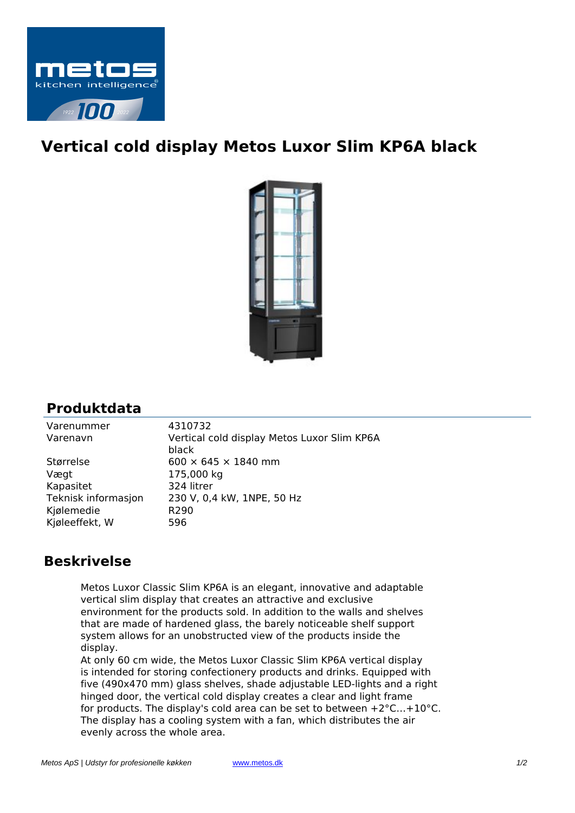

## **Vertical cold display Metos Luxor Slim KP6A black**



## **Produktdata**

| Varenummer          | 4310732                                              |
|---------------------|------------------------------------------------------|
| Varenavn            | Vertical cold display Metos Luxor Slim KP6A<br>black |
| Størrelse           | $600 \times 645 \times 1840$ mm                      |
| Vægt                | 175,000 kg                                           |
| Kapasitet           | 324 litrer                                           |
| Teknisk informasjon | 230 V, 0,4 kW, 1NPE, 50 Hz                           |
| Kjølemedie          | R <sub>290</sub>                                     |
| Kjøleeffekt, W      | 596                                                  |

## **Beskrivelse**

Metos Luxor Classic Slim KP6A is an elegant, innovative and adaptable vertical slim display that creates an attractive and exclusive environment for the products sold. In addition to the walls and shelves that are made of hardened glass, the barely noticeable shelf support system allows for an unobstructed view of the products inside the display.

At only 60 cm wide, the Metos Luxor Classic Slim KP6A vertical display is intended for storing confectionery products and drinks. Equipped with five (490x470 mm) glass shelves, shade adjustable LED-lights and a right hinged door, the vertical cold display creates a clear and light frame for products. The display's cold area can be set to between +2°C…+10°C. The display has a cooling system with a fan, which distributes the air evenly across the whole area.